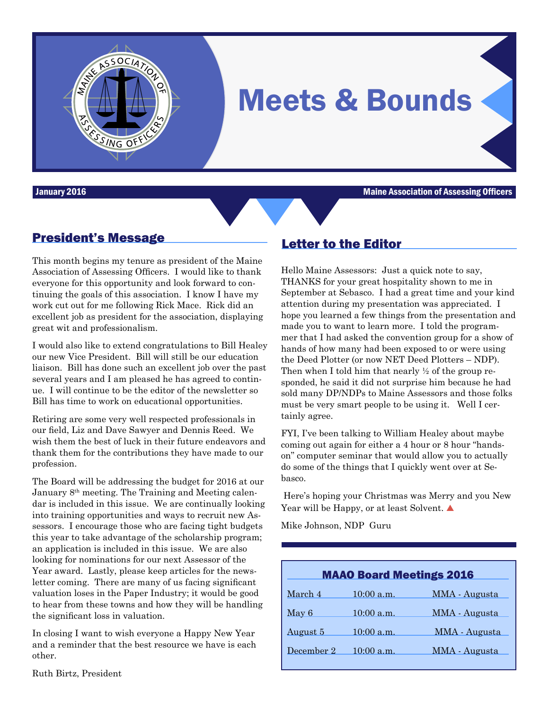

**January 2016** Maine Association of Assessing Officers **Maine Association of Assessing Officers** 

## President's Message

SSING OF

This month begins my tenure as president of the Maine Association of Assessing Officers. I would like to thank everyone for this opportunity and look forward to continuing the goals of this association. I know I have my work cut out for me following Rick Mace. Rick did an excellent job as president for the association, displaying great wit and professionalism.

OCIATION

I would also like to extend congratulations to Bill Healey our new Vice President. Bill will still be our education liaison. Bill has done such an excellent job over the past several years and I am pleased he has agreed to continue. I will continue to be the editor of the newsletter so Bill has time to work on educational opportunities.

Retiring are some very well respected professionals in our field, Liz and Dave Sawyer and Dennis Reed. We wish them the best of luck in their future endeavors and thank them for the contributions they have made to our profession.

The Board will be addressing the budget for 2016 at our January  $8<sup>th</sup>$  meeting. The Training and Meeting calendar is included in this issue. We are continually looking into training opportunities and ways to recruit new Assessors. I encourage those who are facing tight budgets this year to take advantage of the scholarship program; an application is included in this issue. We are also looking for nominations for our next Assessor of the Year award. Lastly, please keep articles for the newsletter coming. There are many of us facing significant valuation loses in the Paper Industry; it would be good to hear from these towns and how they will be handling the significant loss in valuation.

In closing I want to wish everyone a Happy New Year and a reminder that the best resource we have is each other.

#### Ruth Birtz, President

#### Letter to the Editor

Hello Maine Assessors: Just a quick note to say, THANKS for your great hospitality shown to me in September at Sebasco. I had a great time and your kind attention during my presentation was appreciated. I hope you learned a few things from the presentation and made you to want to learn more. I told the programmer that I had asked the convention group for a show of hands of how many had been exposed to or were using the Deed Plotter (or now NET Deed Plotters – NDP). Then when I told him that nearly ½ of the group responded, he said it did not surprise him because he had sold many DP/NDPs to Maine Assessors and those folks must be very smart people to be using it. Well I certainly agree.

FYI, I've been talking to William Healey about maybe coming out again for either a 4 hour or 8 hour "handson" computer seminar that would allow you to actually do some of the things that I quickly went over at Sebasco.

Here's hoping your Christmas was Merry and you New Year will be Happy, or at least Solvent. **▲** 

Mike Johnson, NDP Guru

| <b>MAAO Board Meetings 2016</b> |              |               |  |  |
|---------------------------------|--------------|---------------|--|--|
| March 4                         | $10:00$ a.m. | MMA - Augusta |  |  |
| May 6                           | $10:00$ a.m. | MMA - Augusta |  |  |
| <u>August 5</u>                 | $10:00$ a.m. | MMA - Augusta |  |  |
| December 2                      | $10:00$ a.m. | MMA - Augusta |  |  |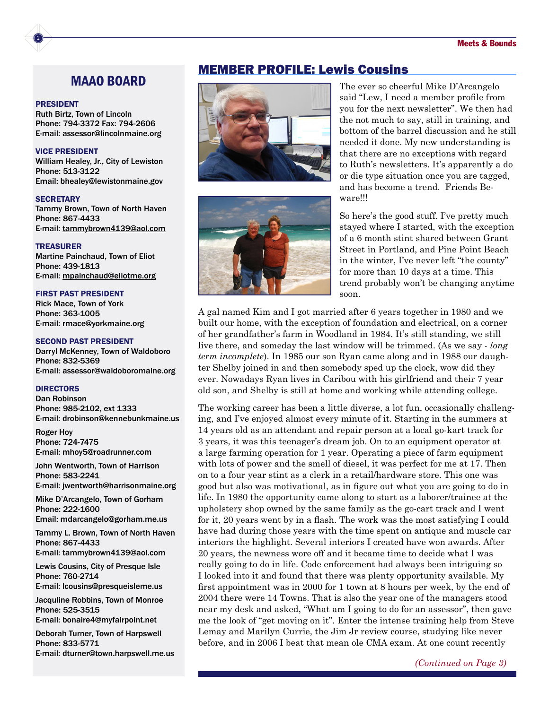#### MAAO BOARD

#### PRESIDENT

2

Ruth Birtz, Town of Lincoln Phone: 794-3372 Fax: 794-2606 E-mail: assessor@lincolnmaine.org

#### VICE PRESIDENT

William Healey, Jr., City of Lewiston Phone: 513-3122 Email: bhealey@lewistonmaine.gov

#### **SECRETARY**

Tammy Brown, Town of North Haven Phone: 867-4433 E-mail: [tammybrown4139@aol.com](mailto:tammybrown4139@aol.com)

#### TREASURER

Martine Painchaud, Town of Eliot Phone: 439-1813 E-mail: [mpainchaud@eliotme.org](mailto:mpainchaud@eliotme.org)

#### FIRST PAST PRESIDENT

Rick Mace, Town of York Phone: 363-1005 E-mail: rmace@yorkmaine.org

#### SECOND PAST PRESIDENT

Darryl McKenney, Town of Waldoboro Phone: 832-5369 E-mail: assessor@waldoboromaine.org

#### **DIRECTORS**

Dan Robinson Phone: 985-2102, ext 1333 E-mail: drobinson@kennebunkmaine.us

Roger Hoy Phone: 724-7475 E-mail: mhoy5@roadrunner.com

John Wentworth, Town of Harrison Phone: 583-2241 E-mail: jwentworth@harrisonmaine.org

Mike D'Arcangelo, Town of Gorham Phone: 222-1600 Email: mdarcangelo@gorham.me.us

Tammy L. Brown, Town of North Haven Phone: 867-4433 E-mail: tammybrown4139@aol.com

Lewis Cousins, City of Presque Isle Phone: 760-2714 E-mail: lcousins@presqueisleme.us

Jacquline Robbins, Town of Monroe Phone: 525-3515 E-mail: bonaire4@myfairpoint.net

Deborah Turner, Town of Harpswell Phone: 833-5771 E-mail: dturner@town.harpswell.me.us

#### MEMBER PROFILE: Lewis Cousins





The ever so cheerful Mike D'Arcangelo said "Lew, I need a member profile from you for the next newsletter". We then had the not much to say, still in training, and bottom of the barrel discussion and he still needed it done. My new understanding is that there are no exceptions with regard to Ruth's newsletters. It's apparently a do or die type situation once you are tagged, and has become a trend. Friends Beware!!!

So here's the good stuff. I've pretty much stayed where I started, with the exception of a 6 month stint shared between Grant Street in Portland, and Pine Point Beach in the winter, I've never left "the county" for more than 10 days at a time. This trend probably won't be changing anytime soon.

A gal named Kim and I got married after 6 years together in 1980 and we built our home, with the exception of foundation and electrical, on a corner of her grandfather's farm in Woodland in 1984. It's still standing, we still live there, and someday the last window will be trimmed. (As we say - *long term incomplete*). In 1985 our son Ryan came along and in 1988 our daughter Shelby joined in and then somebody sped up the clock, wow did they ever. Nowadays Ryan lives in Caribou with his girlfriend and their 7 year old son, and Shelby is still at home and working while attending college.

The working career has been a little diverse, a lot fun, occasionally challenging, and I've enjoyed almost every minute of it. Starting in the summers at 14 years old as an attendant and repair person at a local go-kart track for 3 years, it was this teenager's dream job. On to an equipment operator at a large farming operation for 1 year. Operating a piece of farm equipment with lots of power and the smell of diesel, it was perfect for me at 17. Then on to a four year stint as a clerk in a retail/hardware store. This one was good but also was motivational, as in figure out what you are going to do in life. In 1980 the opportunity came along to start as a laborer/trainee at the upholstery shop owned by the same family as the go-cart track and I went for it, 20 years went by in a flash. The work was the most satisfying I could have had during those years with the time spent on antique and muscle car interiors the highlight. Several interiors I created have won awards. After 20 years, the newness wore off and it became time to decide what I was really going to do in life. Code enforcement had always been intriguing so I looked into it and found that there was plenty opportunity available. My first appointment was in 2000 for 1 town at 8 hours per week, by the end of 2004 there were 14 Towns. That is also the year one of the managers stood near my desk and asked, "What am I going to do for an assessor", then gave me the look of "get moving on it". Enter the intense training help from Steve Lemay and Marilyn Currie, the Jim Jr review course, studying like never before, and in 2006 I beat that mean ole CMA exam. At one count recently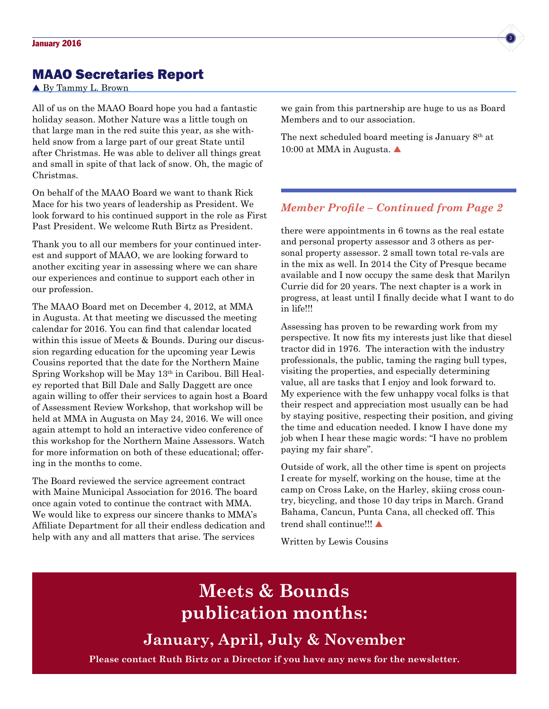### MAAO Secretaries Report

#### ▲ By Tammy L. Brown

All of us on the MAAO Board hope you had a fantastic holiday season. Mother Nature was a little tough on that large man in the red suite this year, as she withheld snow from a large part of our great State until after Christmas. He was able to deliver all things great and small in spite of that lack of snow. Oh, the magic of Christmas.

On behalf of the MAAO Board we want to thank Rick Mace for his two years of leadership as President. We look forward to his continued support in the role as First Past President. We welcome Ruth Birtz as President.

Thank you to all our members for your continued interest and support of MAAO, we are looking forward to another exciting year in assessing where we can share our experiences and continue to support each other in our profession.

The MAAO Board met on December 4, 2012, at MMA in Augusta. At that meeting we discussed the meeting calendar for 2016. You can find that calendar located within this issue of Meets & Bounds. During our discussion regarding education for the upcoming year Lewis Cousins reported that the date for the Northern Maine Spring Workshop will be May 13th in Caribou. Bill Healey reported that Bill Dale and Sally Daggett are once again willing to offer their services to again host a Board of Assessment Review Workshop, that workshop will be held at MMA in Augusta on May 24, 2016. We will once again attempt to hold an interactive video conference of this workshop for the Northern Maine Assessors. Watch for more information on both of these educational; offering in the months to come.

The Board reviewed the service agreement contract with Maine Municipal Association for 2016. The board once again voted to continue the contract with MMA. We would like to express our sincere thanks to MMA's Affiliate Department for all their endless dedication and help with any and all matters that arise. The services

we gain from this partnership are huge to us as Board Members and to our association.

The next scheduled board meeting is January 8th at 10:00 at MMA in Augusta. ▲

#### *Member Profile – Continued from Page 2*

there were appointments in 6 towns as the real estate and personal property assessor and 3 others as personal property assessor. 2 small town total re-vals are in the mix as well. In 2014 the City of Presque became available and I now occupy the same desk that Marilyn Currie did for 20 years. The next chapter is a work in progress, at least until I finally decide what I want to do in life!!!

Assessing has proven to be rewarding work from my perspective. It now fits my interests just like that diesel tractor did in 1976. The interaction with the industry professionals, the public, taming the raging bull types, visiting the properties, and especially determining value, all are tasks that I enjoy and look forward to. My experience with the few unhappy vocal folks is that their respect and appreciation most usually can be had by staying positive, respecting their position, and giving the time and education needed. I know I have done my job when I hear these magic words: "I have no problem paying my fair share".

Outside of work, all the other time is spent on projects I create for myself, working on the house, time at the camp on Cross Lake, on the Harley, skiing cross country, bicycling, and those 10 day trips in March. Grand Bahama, Cancun, Punta Cana, all checked off. This trend shall continue!!!

Written by Lewis Cousins

# **Meets & Bounds publication months:**

**January, April, July & November**

**Please contact Ruth Birtz or a Director if you have any news for the newsletter.**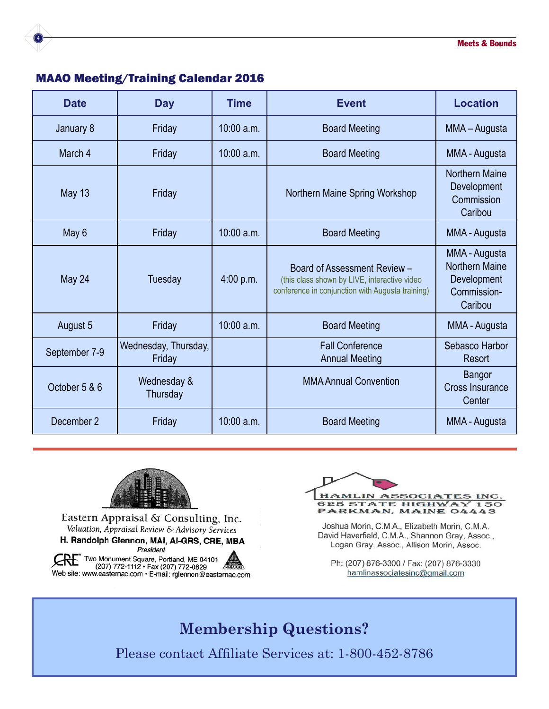

## MAAO Meeting/Training Calendar 2016

| <b>Date</b>   | <b>Day</b>                     | <b>Time</b>  | <b>Event</b>                                                                                                                     | <b>Location</b>                                                                 |
|---------------|--------------------------------|--------------|----------------------------------------------------------------------------------------------------------------------------------|---------------------------------------------------------------------------------|
| January 8     | Friday                         | $10:00$ a.m. | <b>Board Meeting</b>                                                                                                             | MMA - Augusta                                                                   |
| March 4       | Friday                         | $10:00$ a.m. | <b>Board Meeting</b>                                                                                                             | MMA - Augusta                                                                   |
| <b>May 13</b> | Friday                         |              | Northern Maine Spring Workshop                                                                                                   | <b>Northern Maine</b><br>Development<br>Commission<br>Caribou                   |
| May 6         | Friday                         | $10:00$ a.m. | <b>Board Meeting</b>                                                                                                             | MMA - Augusta                                                                   |
| May 24        | Tuesday                        | 4:00 p.m.    | Board of Assessment Review -<br>(this class shown by LIVE, interactive video<br>conference in conjunction with Augusta training) | MMA - Augusta<br><b>Northern Maine</b><br>Development<br>Commission-<br>Caribou |
| August 5      | Friday                         | $10:00$ a.m. | <b>Board Meeting</b>                                                                                                             | MMA - Augusta                                                                   |
| September 7-9 | Wednesday, Thursday,<br>Friday |              | <b>Fall Conference</b><br><b>Annual Meeting</b>                                                                                  | Sebasco Harbor<br>Resort                                                        |
| October 5 & 6 | Wednesday &<br>Thursday        |              | <b>MMA Annual Convention</b>                                                                                                     | <b>Bangor</b><br><b>Cross Insurance</b><br>Center                               |
| December 2    | Friday                         | 10:00 a.m.   | <b>Board Meeting</b>                                                                                                             | MMA - Augusta                                                                   |



Eastern Appraisal & Consulting, Inc. Valuation, Appraisal Review & Advisory Services H. Randolph Glennon, MAI, AI-GRS, CRE, MBA President Web site: www.easternac.com · E-mail: rglennon@easternac.com



Joshua Morin, C.M.A., Elizabeth Morin, C.M.A. David Haverfield, C.M.A., Shannon Gray, Assoc., Logan Gray, Assoc., Allison Morin, Assoc.

Ph: (207) 876-3300 / Fax: (207) 876-3330 hamlinassociatesinc@gmail.com

## **Membership Questions?**

Please contact Affiliate Services at: 1-800-452-8786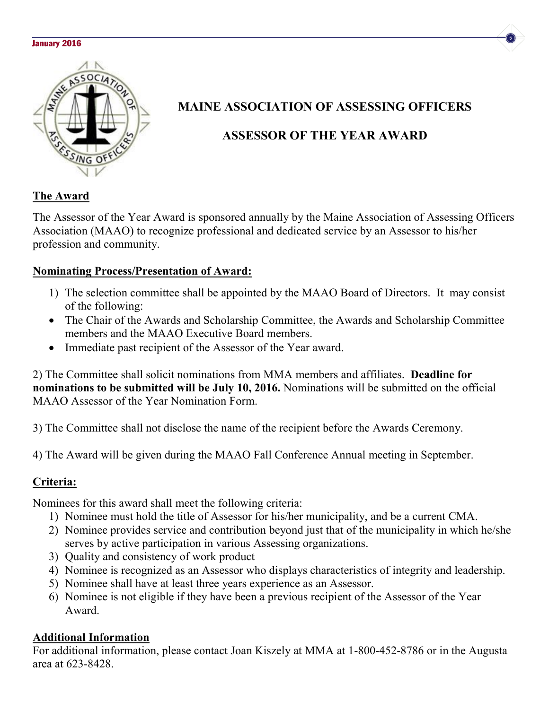#### **January 2016 Second Line Second Line Second Line Second Line Second Line Second Line Second Line Second Line S**





## **MAINE ASSOCIATION OF ASSESSING OFFICERS**

## **ASSESSOR OF THE YEAR AWARD**

## **The Award**

The Assessor of the Year Award is sponsored annually by the Maine Association of Assessing Officers Association (MAAO) to recognize professional and dedicated service by an Assessor to his/her profession and community.

### **Nominating Process/Presentation of Award:**

- 1) The selection committee shall be appointed by the MAAO Board of Directors. It may consist of the following:
- The Chair of the Awards and Scholarship Committee, the Awards and Scholarship Committee members and the MAAO Executive Board members.
- Immediate past recipient of the Assessor of the Year award.

2) The Committee shall solicit nominations from MMA members and affiliates. **Deadline for nominations to be submitted will be July 10, 2016.** Nominations will be submitted on the official MAAO Assessor of the Year Nomination Form.

3) The Committee shall not disclose the name of the recipient before the Awards Ceremony.

4) The Award will be given during the MAAO Fall Conference Annual meeting in September.

## **Criteria:**

Nominees for this award shall meet the following criteria:

- 1) Nominee must hold the title of Assessor for his/her municipality, and be a current CMA.
- 2) Nominee provides service and contribution beyond just that of the municipality in which he/she serves by active participation in various Assessing organizations.
- 3) Quality and consistency of work product
- 4) Nominee is recognized as an Assessor who displays characteristics of integrity and leadership.
- 5) Nominee shall have at least three years experience as an Assessor.
- 6) Nominee is not eligible if they have been a previous recipient of the Assessor of the Year Award.

## **Additional Information**

For additional information, please contact Joan Kiszely at MMA at 1-800-452-8786 or in the Augusta area at 623-8428.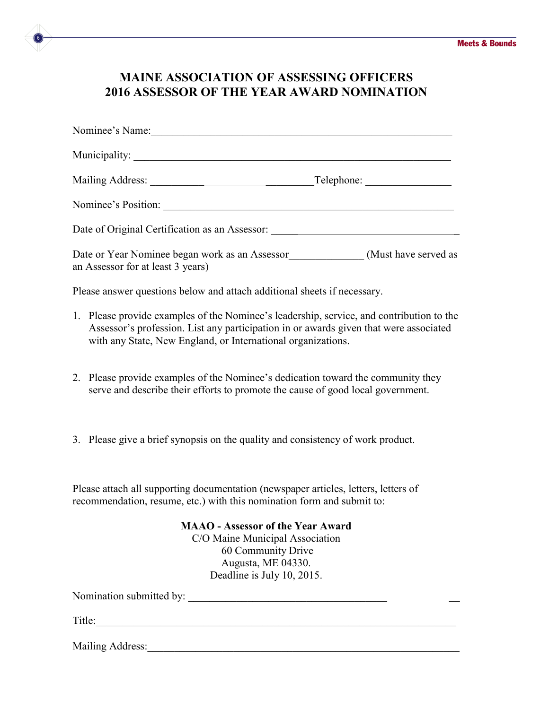## **MAINE ASSOCIATION OF ASSESSING OFFICERS 2016 ASSESSOR OF THE YEAR AWARD NOMINATION**

| Nominee's Name:                                                                          |  |
|------------------------------------------------------------------------------------------|--|
|                                                                                          |  |
|                                                                                          |  |
| Nominee's Position:                                                                      |  |
| Date of Original Certification as an Assessor: __________________________________        |  |
| an Assessor for at least 3 years)                                                        |  |
| Please answer questions below and attach additional sheets if necessary.                 |  |
| 1. Please provide examples of the Nominee's leadership, service, and contribution to the |  |

- 1. Please provide examples of the Nominee's leadership, service, and contribution to the Assessor's profession. List any participation in or awards given that were associated with any State, New England, or International organizations.
- 2. Please provide examples of the Nominee's dedication toward the community they serve and describe their efforts to promote the cause of good local government.
- 3. Please give a brief synopsis on the quality and consistency of work product.

Please attach all supporting documentation (newspaper articles, letters, letters of recommendation, resume, etc.) with this nomination form and submit to:

#### **MAAO - Assessor of the Year Award**

C/O Maine Municipal Association 60 Community Drive Augusta, ME 04330. Deadline is July 10, 2015.

Nomination submitted by: \_\_\_\_\_\_\_\_\_\_\_\_\_\_\_\_\_\_\_\_\_\_\_\_\_\_\_\_\_\_\_\_\_\_\_\_\_ \_\_

Title:\_\_\_\_\_\_\_\_\_\_\_\_\_\_\_\_\_\_\_\_\_\_\_\_\_\_\_\_\_\_\_\_\_\_\_\_\_\_\_\_\_\_\_\_\_\_\_\_\_\_\_\_\_\_\_\_\_\_\_\_\_\_\_\_\_\_\_

6

Mailing Address: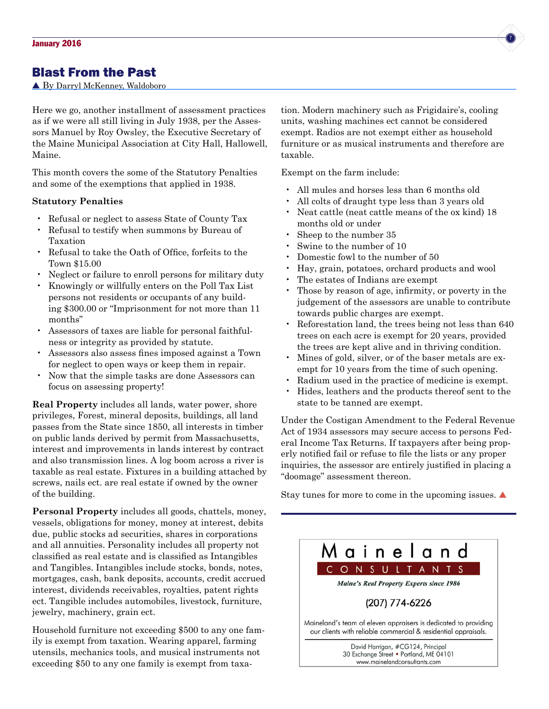#### Blast From the Past

▲ By Darryl McKenney, Waldoboro

Here we go, another installment of assessment practices as if we were all still living in July 1938, per the Assessors Manuel by Roy Owsley, the Executive Secretary of the Maine Municipal Association at City Hall, Hallowell, Maine.

This month covers the some of the Statutory Penalties and some of the exemptions that applied in 1938.

#### **Statutory Penalties**

- Refusal or neglect to assess State of County Tax
- Refusal to testify when summons by Bureau of Taxation
- Refusal to take the Oath of Office, forfeits to the Town \$15.00
- Neglect or failure to enroll persons for military duty
- Knowingly or willfully enters on the Poll Tax List persons not residents or occupants of any building \$300.00 or "Imprisonment for not more than 11 months"
- Assessors of taxes are liable for personal faithfulness or integrity as provided by statute.
- Assessors also assess fines imposed against a Town for neglect to open ways or keep them in repair.
- Now that the simple tasks are done Assessors can focus on assessing property!

**Real Property** includes all lands, water power, shore privileges, Forest, mineral deposits, buildings, all land passes from the State since 1850, all interests in timber on public lands derived by permit from Massachusetts, interest and improvements in lands interest by contract and also transmission lines. A log boom across a river is taxable as real estate. Fixtures in a building attached by screws, nails ect. are real estate if owned by the owner of the building.

**Personal Property** includes all goods, chattels, money, vessels, obligations for money, money at interest, debits due, public stocks ad securities, shares in corporations and all annuities. Personality includes all property not classified as real estate and is classified as Intangibles and Tangibles. Intangibles include stocks, bonds, notes, mortgages, cash, bank deposits, accounts, credit accrued interest, dividends receivables, royalties, patent rights ect. Tangible includes automobiles, livestock, furniture, jewelry, machinery, grain ect.

Household furniture not exceeding \$500 to any one family is exempt from taxation. Wearing apparel, farming utensils, mechanics tools, and musical instruments not exceeding \$50 to any one family is exempt from taxation. Modern machinery such as Frigidaire's, cooling units, washing machines ect cannot be considered exempt. Radios are not exempt either as household furniture or as musical instruments and therefore are taxable.

Exempt on the farm include:

- All mules and horses less than 6 months old
- All colts of draught type less than 3 years old
- Neat cattle (neat cattle means of the ox kind) 18 months old or under
- Sheep to the number 35
- Swine to the number of 10
- Domestic fowl to the number of 50
- Hay, grain, potatoes, orchard products and wool
- The estates of Indians are exempt
- Those by reason of age, infirmity, or poverty in the judgement of the assessors are unable to contribute towards public charges are exempt.
- Reforestation land, the trees being not less than 640 trees on each acre is exempt for 20 years, provided the trees are kept alive and in thriving condition.
- Mines of gold, silver, or of the baser metals are exempt for 10 years from the time of such opening.
- Radium used in the practice of medicine is exempt.
- Hides, leathers and the products thereof sent to the state to be tanned are exempt.

Under the Costigan Amendment to the Federal Revenue Act of 1934 assessors may secure access to persons Federal Income Tax Returns. If taxpayers after being properly notified fail or refuse to file the lists or any proper inquiries, the assessor are entirely justified in placing a "doomage" assessment thereon.

Stay tunes for more to come in the upcoming issues.  $\blacktriangle$ 



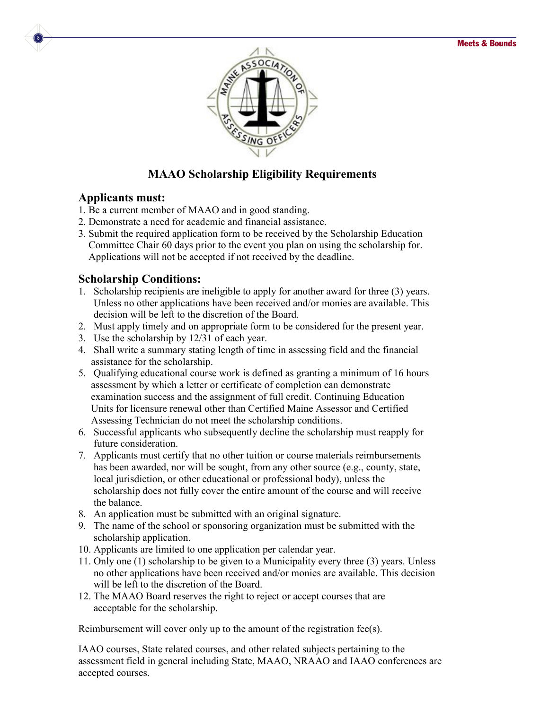

## **MAAO Scholarship Eligibility Requirements**

#### **Applicants must:**

8

- 1. Be a current member of MAAO and in good standing.
- 2. Demonstrate a need for academic and financial assistance.
- 3. Submit the required application form to be received by the Scholarship Education Committee Chair 60 days prior to the event you plan on using the scholarship for. Applications will not be accepted if not received by the deadline.

#### **Scholarship Conditions:**

- 1. Scholarship recipients are ineligible to apply for another award for three (3) years. Unless no other applications have been received and/or monies are available. This decision will be left to the discretion of the Board.
- 2. Must apply timely and on appropriate form to be considered for the present year.
- 3. Use the scholarship by 12/31 of each year.
- 4. Shall write a summary stating length of time in assessing field and the financial assistance for the scholarship.
- 5. Qualifying educational course work is defined as granting a minimum of 16 hours assessment by which a letter or certificate of completion can demonstrate examination success and the assignment of full credit. Continuing Education Units for licensure renewal other than Certified Maine Assessor and Certified Assessing Technician do not meet the scholarship conditions.
- 6. Successful applicants who subsequently decline the scholarship must reapply for future consideration.
- 7. Applicants must certify that no other tuition or course materials reimbursements has been awarded, nor will be sought, from any other source (e.g., county, state, local jurisdiction, or other educational or professional body), unless the scholarship does not fully cover the entire amount of the course and will receive the balance.
- 8. An application must be submitted with an original signature.
- 9. The name of the school or sponsoring organization must be submitted with the scholarship application.
- 10. Applicants are limited to one application per calendar year.
- 11. Only one (1) scholarship to be given to a Municipality every three (3) years. Unless no other applications have been received and/or monies are available. This decision will be left to the discretion of the Board.
- 12. The MAAO Board reserves the right to reject or accept courses that are acceptable for the scholarship.

Reimbursement will cover only up to the amount of the registration fee(s).

IAAO courses, State related courses, and other related subjects pertaining to the assessment field in general including State, MAAO, NRAAO and IAAO conferences are accepted courses.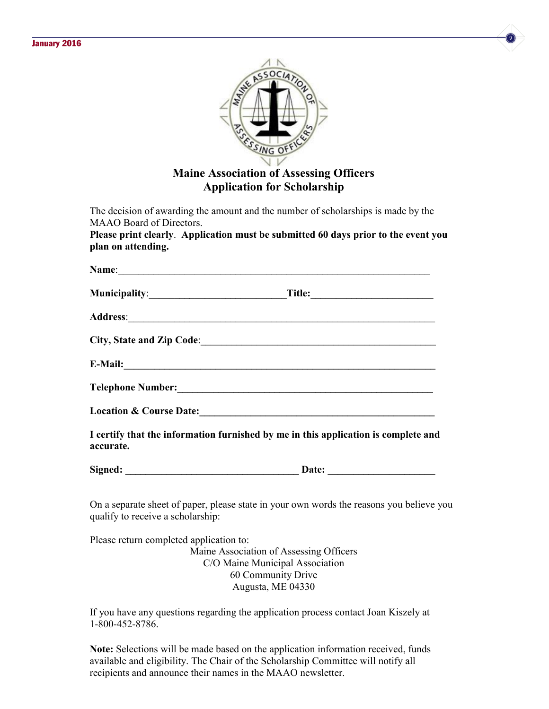



**Application for Scholarship**

The decision of awarding the amount and the number of scholarships is made by the MAAO Board of Directors.

**Please print clearly**. **Application must be submitted 60 days prior to the event you plan on attending.**

|           | City, State and Zip Code:                                                                                                                                                                                                      |
|-----------|--------------------------------------------------------------------------------------------------------------------------------------------------------------------------------------------------------------------------------|
|           | E-Mail: 2008. 2008. 2010. 2010. 2010. 2010. 2010. 2010. 2010. 2010. 2010. 2010. 2010. 2010. 2010. 2010. 2010. 2010. 2010. 2010. 2010. 2010. 2010. 2010. 2010. 2010. 2010. 2010. 2010. 2010. 2010. 2010. 2010. 2010. 2010. 2010 |
|           |                                                                                                                                                                                                                                |
|           | Location & Course Date: 1988. Course Date:                                                                                                                                                                                     |
| accurate. | I certify that the information furnished by me in this application is complete and                                                                                                                                             |
|           |                                                                                                                                                                                                                                |
|           |                                                                                                                                                                                                                                |

On a separate sheet of paper, please state in your own words the reasons you believe you qualify to receive a scholarship:

Please return completed application to: Maine Association of Assessing Officers C/O Maine Municipal Association 60 Community Drive Augusta, ME 04330

If you have any questions regarding the application process contact Joan Kiszely at 1-800-452-8786.

**Note:** Selections will be made based on the application information received, funds available and eligibility. The Chair of the Scholarship Committee will notify all recipients and announce their names in the MAAO newsletter.